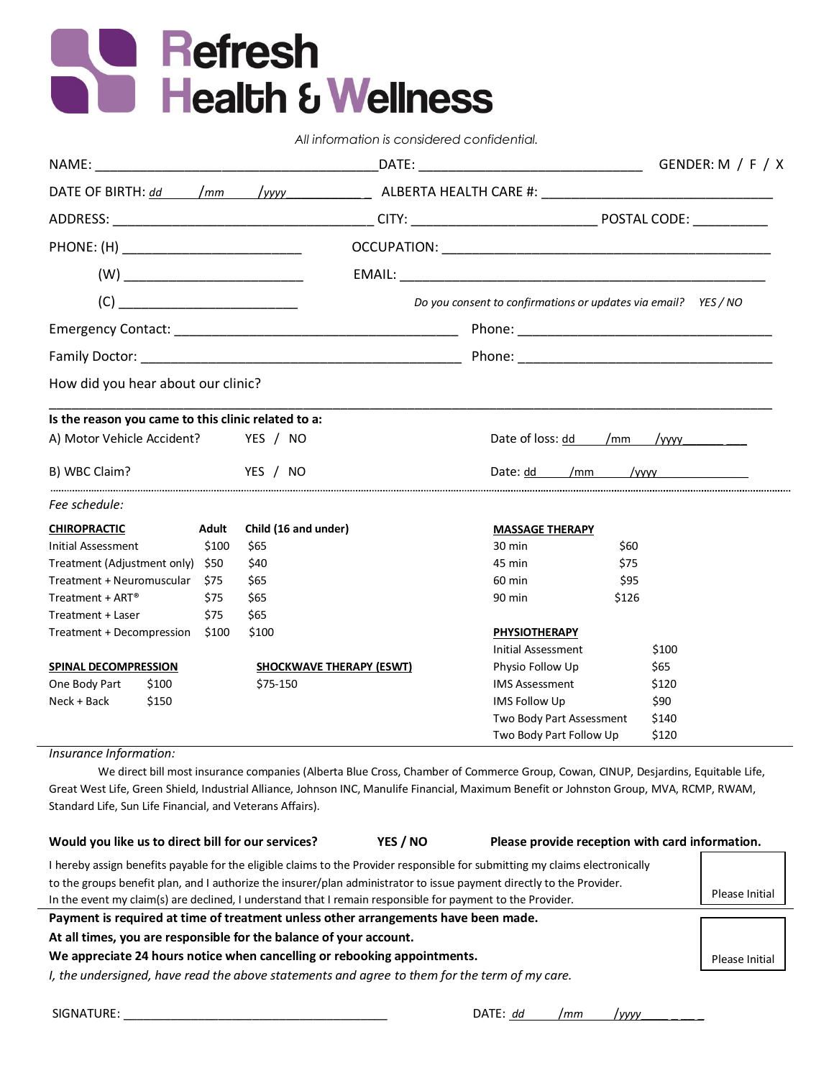# **Refresh<br>Realth & Wellness**

*All information is considered confidential.*

| DATE OF BIRTH: dd                                       |       | $\sqrt{mm}$          | /уууу                                               |                        |                                                                |                          |              |
|---------------------------------------------------------|-------|----------------------|-----------------------------------------------------|------------------------|----------------------------------------------------------------|--------------------------|--------------|
|                                                         |       |                      |                                                     |                        |                                                                |                          |              |
|                                                         |       |                      |                                                     |                        |                                                                |                          |              |
|                                                         |       |                      |                                                     |                        |                                                                |                          |              |
| (C)                                                     |       |                      |                                                     |                        | Do you consent to confirmations or updates via email? YES / NO |                          |              |
|                                                         |       |                      |                                                     |                        |                                                                |                          |              |
|                                                         |       |                      |                                                     |                        |                                                                |                          |              |
| How did you hear about our clinic?                      |       |                      |                                                     |                        |                                                                |                          |              |
|                                                         |       |                      | Is the reason you came to this clinic related to a: |                        |                                                                |                          |              |
| A) Motor Vehicle Accident?                              |       |                      | YES / NO                                            |                        |                                                                | Date of loss: dd /mm     | $/$ yyyy $/$ |
| B) WBC Claim?                                           |       | YES / NO             |                                                     | Date: dd /mm           |                                                                |                          |              |
| Fee schedule:                                           |       |                      |                                                     |                        |                                                                |                          |              |
| <b>CHIROPRACTIC</b><br>Adult                            |       | Child (16 and under) |                                                     | <b>MASSAGE THERAPY</b> |                                                                |                          |              |
| Initial Assessment<br>\$100                             |       | \$65                 |                                                     | $30 \text{ min}$       | \$60                                                           |                          |              |
| Treatment (Adjustment only) \$50                        |       | \$40                 |                                                     | 45 min                 | \$75                                                           |                          |              |
| Treatment + Neuromuscular<br>\$75                       |       | \$65                 |                                                     | 60 min                 | \$95                                                           |                          |              |
| Treatment + $ART^{\circledast}$                         |       | \$75                 | \$65                                                |                        | 90 min                                                         | \$126                    |              |
| Treatment + Laser                                       |       | \$75                 | \$65                                                |                        |                                                                |                          |              |
| Treatment + Decompression<br>\$100                      |       | \$100                |                                                     | <b>PHYSIOTHERAPY</b>   |                                                                |                          |              |
|                                                         |       |                      |                                                     |                        | <b>Initial Assessment</b>                                      |                          | \$100        |
| SPINAL DECOMPRESSION<br><b>SHOCKWAVE THERAPY (ESWT)</b> |       |                      |                                                     | Physio Follow Up       |                                                                | \$65                     |              |
| One Body Part                                           | \$100 |                      | \$75-150                                            |                        | <b>IMS Assessment</b>                                          |                          | \$120        |
| Neck + Back                                             | \$150 |                      |                                                     |                        | <b>IMS Follow Up</b>                                           |                          | \$90         |
|                                                         |       |                      |                                                     |                        |                                                                | Two Body Part Assessment | \$140        |
|                                                         |       |                      |                                                     |                        | Two Body Part Follow Up                                        |                          | \$120        |

### *Insurance Information:*

We direct bill most insurance companies (Alberta Blue Cross, Chamber of Commerce Group, Cowan, CINUP, Desjardins, Equitable Life, Great West Life, Green Shield, Industrial Alliance, Johnson INC, Manulife Financial, Maximum Benefit or Johnston Group, MVA, RCMP, RWAM, Standard Life, Sun Life Financial, and Veterans Affairs).

| Would you like us to direct bill for our services?                                                                                      | YES / NO | Please provide reception with card information. |                |  |  |
|-----------------------------------------------------------------------------------------------------------------------------------------|----------|-------------------------------------------------|----------------|--|--|
| I hereby assign benefits payable for the eligible claims to the Provider responsible for submitting my claims electronically            |          |                                                 |                |  |  |
| to the groups benefit plan, and I authorize the insurer/plan administrator to issue payment directly to the Provider.<br>Please Initial |          |                                                 |                |  |  |
| In the event my claim(s) are declined, I understand that I remain responsible for payment to the Provider.                              |          |                                                 |                |  |  |
| Payment is required at time of treatment unless other arrangements have been made.                                                      |          |                                                 |                |  |  |
|                                                                                                                                         |          |                                                 |                |  |  |
| At all times, you are responsible for the balance of your account.                                                                      |          |                                                 |                |  |  |
| We appreciate 24 hours notice when cancelling or rebooking appointments.                                                                |          |                                                 | Please Initial |  |  |

SIGNATURE: \_\_\_\_\_\_\_\_\_\_\_\_\_\_\_\_\_\_\_\_\_\_\_\_\_\_\_\_\_\_\_\_\_\_\_\_\_\_\_DATE: *dd* /*mm* /*yyyy*\_\_\_\_ \_ \_\_ \_